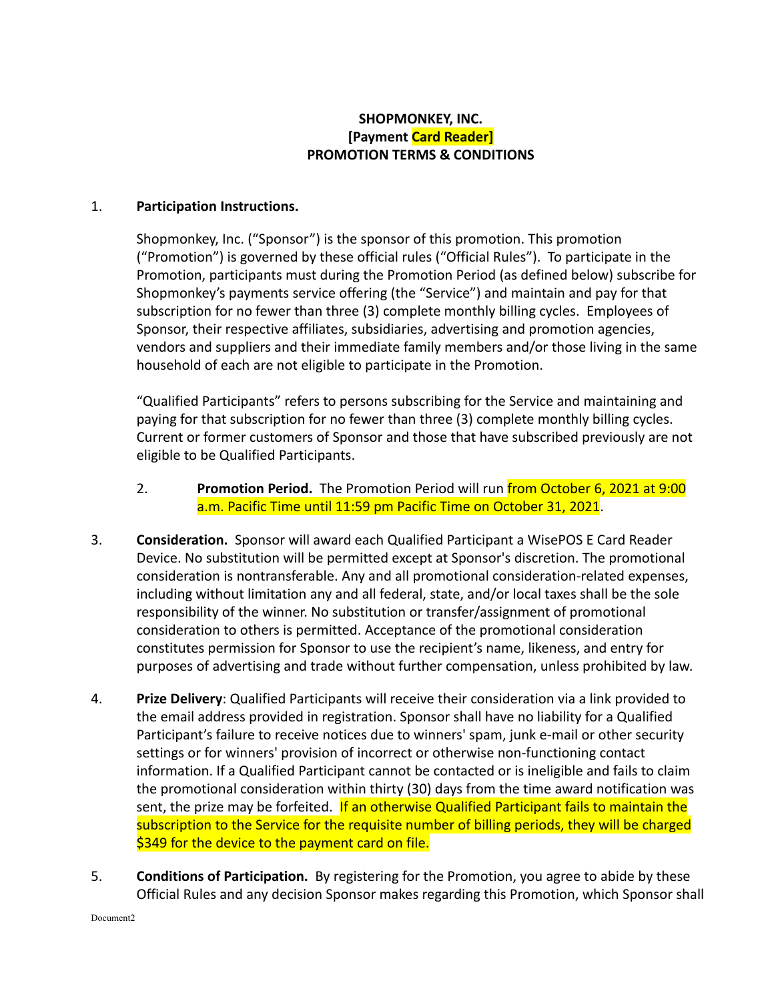## **SHOPMONKEY, INC. [Payment Card Reader] PROMOTION TERMS & CONDITIONS**

## 1. **Participation Instructions.**

Shopmonkey, Inc. ("Sponsor") is the sponsor of this promotion. This promotion ("Promotion") is governed by these official rules ("Official Rules"). To participate in the Promotion, participants must during the Promotion Period (as defined below) subscribe for Shopmonkey's payments service offering (the "Service") and maintain and pay for that subscription for no fewer than three (3) complete monthly billing cycles. Employees of Sponsor, their respective affiliates, subsidiaries, advertising and promotion agencies, vendors and suppliers and their immediate family members and/or those living in the same household of each are not eligible to participate in the Promotion.

"Qualified Participants" refers to persons subscribing for the Service and maintaining and paying for that subscription for no fewer than three (3) complete monthly billing cycles. Current or former customers of Sponsor and those that have subscribed previously are not eligible to be Qualified Participants.

- 2. **Promotion Period.** The Promotion Period will run from October 6, 2021 at 9:00 a.m. Pacific Time until 11:59 pm Pacific Time on October 31, 2021.
- 3. **Consideration.** Sponsor will award each Qualified Participant a WisePOS E Card Reader Device. No substitution will be permitted except at Sponsor's discretion. The promotional consideration is nontransferable. Any and all promotional consideration-related expenses, including without limitation any and all federal, state, and/or local taxes shall be the sole responsibility of the winner. No substitution or transfer/assignment of promotional consideration to others is permitted. Acceptance of the promotional consideration constitutes permission for Sponsor to use the recipient's name, likeness, and entry for purposes of advertising and trade without further compensation, unless prohibited by law.
- 4. **Prize Delivery**: Qualified Participants will receive their consideration via a link provided to the email address provided in registration. Sponsor shall have no liability for a Qualified Participant's failure to receive notices due to winners' spam, junk e-mail or other security settings or for winners' provision of incorrect or otherwise non-functioning contact information. If a Qualified Participant cannot be contacted or is ineligible and fails to claim the promotional consideration within thirty (30) days from the time award notification was sent, the prize may be forfeited. If an otherwise Qualified Participant fails to maintain the subscription to the Service for the requisite number of billing periods, they will be charged \$349 for the device to the payment card on file.
- 5. **Conditions of Participation.** By registering for the Promotion, you agree to abide by these Official Rules and any decision Sponsor makes regarding this Promotion, which Sponsor shall